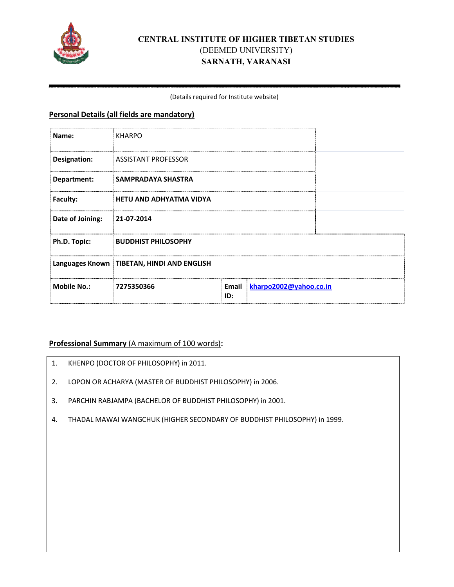

# **CENTRAL AL INSTITUTE OF HIGHER TIBETAN STUDI TUDIES**  (DEEMED UNIVERSITY) **SARNATH, VARANASI**

#### (Deta Details required for Institute website)

### **Personal Details (all fields are mandatory)**

| Name:              | <b>KHARPO</b>                                |              |                        |  |
|--------------------|----------------------------------------------|--------------|------------------------|--|
| Designation:       | <b>ASSISTANT PROFESSOR</b>                   |              |                        |  |
| Department:        | SAMPRADAYA SHASTRA                           |              |                        |  |
| <b>Faculty:</b>    | <b>HETU AND ADHYATMA VIDYA</b>               |              |                        |  |
| Date of Joining:   | 21-07-2014                                   |              |                        |  |
| Ph.D. Topic:       | <b>BUDDHIST PHILOSOPHY</b>                   |              |                        |  |
|                    | Languages Known   TIBETAN, HINDI AND ENGLISH |              |                        |  |
| <b>Mobile No.:</b> | 7275350366                                   | Email<br>ID: | kharpo2002@yahoo.co.in |  |

## Professional Summary (A maximum of 100 words):

- 1. KHENPO (DOCTOR OF PHILOSOPHY) in 2011.
- 2. LOPON OR ACHARYA (MASTER OF BUDDHIST PHILOSOPHY) in 2006.
- 3. PARCHIN RABJAMPA (BACHELOR OF BUDDHIST PHILOSOPHY) in 2001.
- 4. THADAL MAWAI WANGCHUK (HIGHER SECONDARY OF BUDDHIST PHILOSOPHY) in 1999.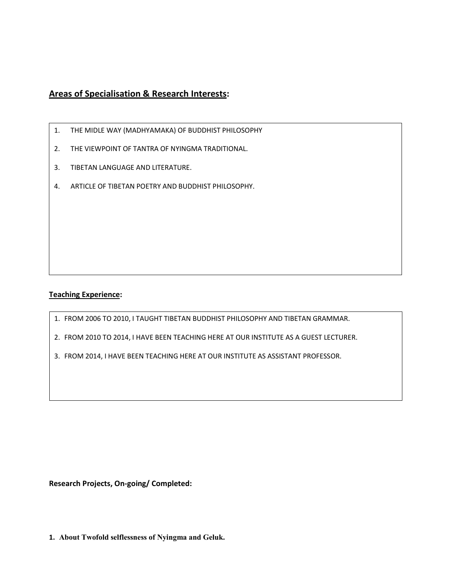# **Areas of Specialisation & Research Interests:**

- 1. THE MIDLE WAY (MADHYAMAKA) OF BUDDHIST PHILOSOPHY
- 2. THE VIEWPOINT OF TANTRA OF NYINGMA TRADITIONAL.
- 3. TIBETAN LANGUAGE AND LITERATURE.
- 4. ARTICLE OF TIBETAN POETRY AND BUDDHIST PHILOSOPHY.

#### **Teaching Experience:**

- 1. FROM 2006 TO 2010, I TAUGHT TIBETAN BUDDHIST PHILOSOPHY AND TIBETAN GRAMMAR.
- 2. FROM 2010 TO 2014, I HAVE BEEN TEACHING HERE AT OUR INSTITUTE AS A GUEST LECTURER.
- 3. FROM 2014, I HAVE BEEN TEACHING HERE AT OUR INSTITUTE AS ASSISTANT PROFESSOR.

**Research Projects, On-going/ Completed:** 

**1. About Twofold selflessness of Nyingma and Geluk.**